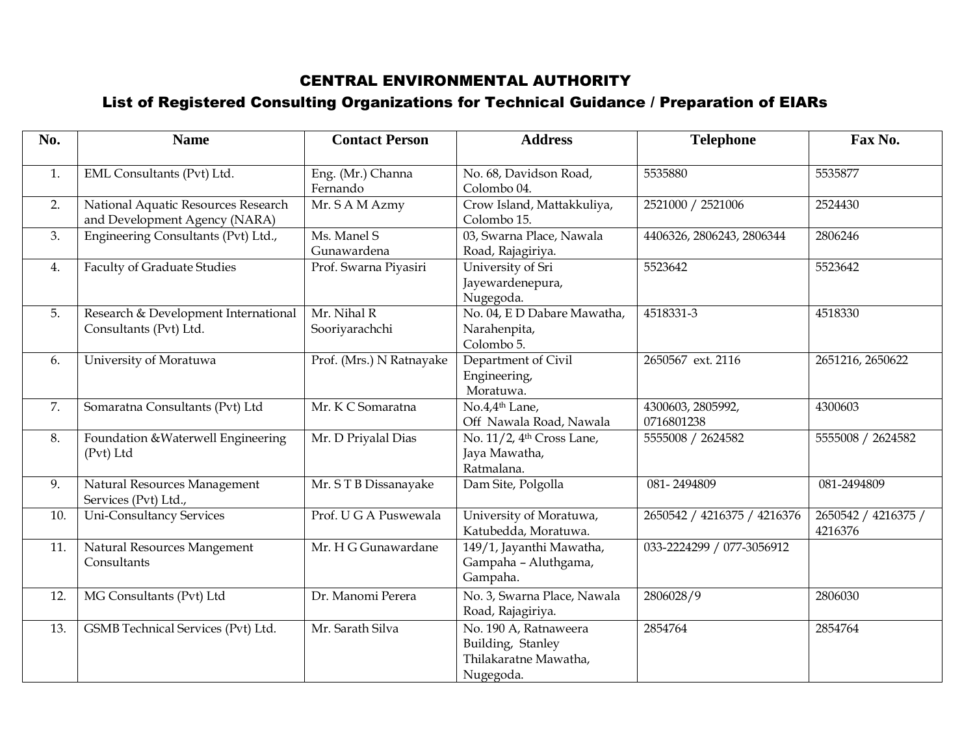## CENTRAL ENVIRONMENTAL AUTHORITY

## List of Registered Consulting Organizations for Technical Guidance / Preparation of EIARs

| No. | <b>Name</b>                                                          | <b>Contact Person</b>         | <b>Address</b>                                                                   | <b>Telephone</b>                | Fax No.                        |
|-----|----------------------------------------------------------------------|-------------------------------|----------------------------------------------------------------------------------|---------------------------------|--------------------------------|
| 1.  | EML Consultants (Pvt) Ltd.                                           | Eng. (Mr.) Channa<br>Fernando | No. 68, Davidson Road,<br>Colombo 04.                                            | 5535880                         | 5535877                        |
| 2.  | National Aquatic Resources Research<br>and Development Agency (NARA) | Mr. S A M Azmy                | Crow Island, Mattakkuliya,<br>Colombo 15.                                        | 2521000 / 2521006               | 2524430                        |
| 3.  | Engineering Consultants (Pvt) Ltd.,                                  | Ms. Manel S<br>Gunawardena    | 03, Swarna Place, Nawala<br>Road, Rajagiriya.                                    | 4406326, 2806243, 2806344       | 2806246                        |
| 4.  | <b>Faculty of Graduate Studies</b>                                   | Prof. Swarna Piyasiri         | University of Sri<br>Jayewardenepura,<br>Nugegoda.                               | 5523642                         | 5523642                        |
| 5.  | Research & Development International<br>Consultants (Pvt) Ltd.       | Mr. Nihal R<br>Sooriyarachchi | No. 04, E D Dabare Mawatha,<br>Narahenpita,<br>Colombo 5.                        | 4518331-3                       | 4518330                        |
| 6.  | University of Moratuwa                                               | Prof. (Mrs.) N Ratnayake      | Department of Civil<br>Engineering,<br>Moratuwa.                                 | 2650567 ext. 2116               | 2651216, 2650622               |
| 7.  | Somaratna Consultants (Pvt) Ltd                                      | Mr. K C Somaratna             | No.4,4 <sup>th</sup> Lane,<br>Off Nawala Road, Nawala                            | 4300603, 2805992,<br>0716801238 | 4300603                        |
| 8.  | Foundation & Waterwell Engineering<br>(Pvt) Ltd                      | Mr. D Priyalal Dias           | No. 11/2, 4 <sup>th</sup> Cross Lane,<br>Jaya Mawatha,<br>Ratmalana.             | 5555008 / 2624582               | 5555008 / 2624582              |
| 9.  | Natural Resources Management<br>Services (Pvt) Ltd.,                 | Mr. STB Dissanayake           | Dam Site, Polgolla                                                               | 081-2494809                     | 081-2494809                    |
| 10. | <b>Uni-Consultancy Services</b>                                      | Prof. U G A Puswewala         | University of Moratuwa,<br>Katubedda, Moratuwa.                                  | 2650542 / 4216375 / 4216376     | 2650542 / 4216375 /<br>4216376 |
| 11. | Natural Resources Mangement<br>Consultants                           | Mr. H G Gunawardane           | 149/1, Jayanthi Mawatha,<br>Gampaha - Aluthgama,<br>Gampaha.                     | 033-2224299 / 077-3056912       |                                |
| 12. | MG Consultants (Pvt) Ltd                                             | Dr. Manomi Perera             | No. 3, Swarna Place, Nawala<br>Road, Rajagiriya.                                 | 2806028/9                       | 2806030                        |
| 13. | GSMB Technical Services (Pvt) Ltd.                                   | Mr. Sarath Silva              | No. 190 A, Ratnaweera<br>Building, Stanley<br>Thilakaratne Mawatha,<br>Nugegoda. | 2854764                         | 2854764                        |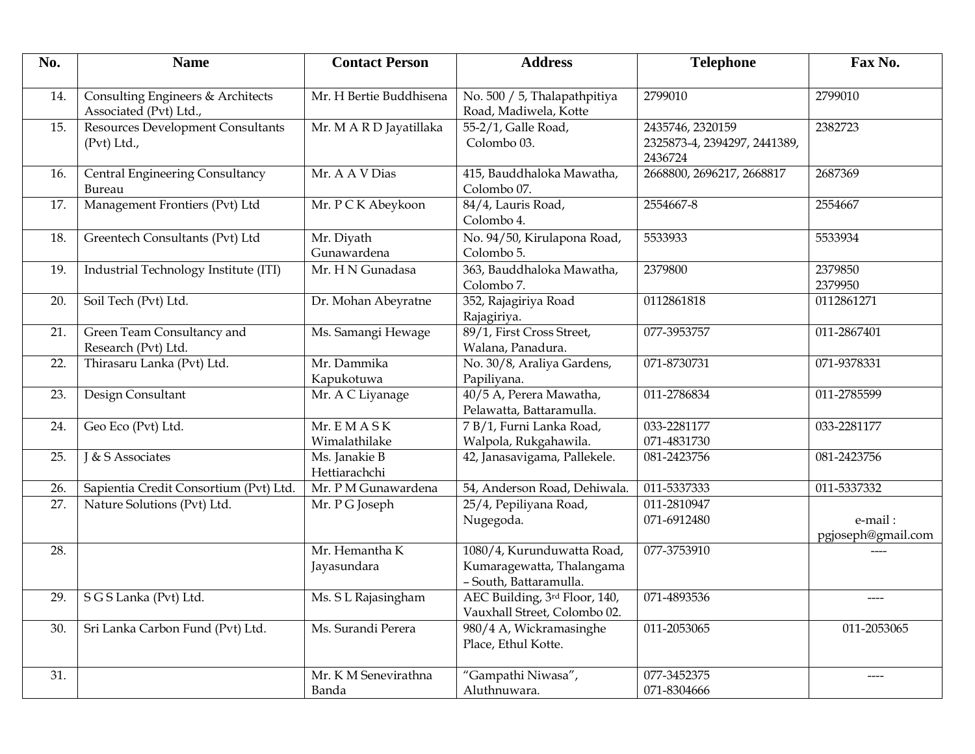| No. | <b>Name</b>                                                 | <b>Contact Person</b>          | <b>Address</b>                                                                    | <b>Telephone</b>                                            | Fax No.                       |
|-----|-------------------------------------------------------------|--------------------------------|-----------------------------------------------------------------------------------|-------------------------------------------------------------|-------------------------------|
| 14. | Consulting Engineers & Architects<br>Associated (Pvt) Ltd., | Mr. H Bertie Buddhisena        | No. 500 / 5, Thalapathpitiya<br>Road, Madiwela, Kotte                             | 2799010                                                     | 2799010                       |
| 15. | <b>Resources Development Consultants</b><br>(Pvt) Ltd.,     | Mr. MARD Jayatillaka           | 55-2/1, Galle Road,<br>Colombo 03.                                                | 2435746, 2320159<br>2325873-4, 2394297, 2441389,<br>2436724 | 2382723                       |
| 16. | <b>Central Engineering Consultancy</b><br>Bureau            | Mr. A A V Dias                 | 415, Bauddhaloka Mawatha,<br>Colombo 07.                                          | 2668800, 2696217, 2668817                                   | 2687369                       |
| 17. | Management Frontiers (Pvt) Ltd                              | Mr. PCK Abeykoon               | 84/4, Lauris Road,<br>Colombo 4.                                                  | 2554667-8                                                   | 2554667                       |
| 18. | Greentech Consultants (Pvt) Ltd                             | Mr. Diyath<br>Gunawardena      | No. 94/50, Kirulapona Road,<br>Colombo 5.                                         | 5533933                                                     | 5533934                       |
| 19. | Industrial Technology Institute (ITI)                       | Mr. H N Gunadasa               | 363, Bauddhaloka Mawatha,<br>Colombo 7.                                           | 2379800                                                     | 2379850<br>2379950            |
| 20. | Soil Tech (Pvt) Ltd.                                        | Dr. Mohan Abeyratne            | 352, Rajagiriya Road<br>Rajagiriya.                                               | 0112861818                                                  | 0112861271                    |
| 21. | Green Team Consultancy and<br>Research (Pvt) Ltd.           | Ms. Samangi Hewage             | 89/1, First Cross Street,<br>Walana, Panadura.                                    | 077-3953757                                                 | 011-2867401                   |
| 22. | Thirasaru Lanka (Pvt) Ltd.                                  | Mr. Dammika<br>Kapukotuwa      | No. 30/8, Araliya Gardens,<br>Papiliyana.                                         | 071-8730731                                                 | 071-9378331                   |
| 23. | Design Consultant                                           | Mr. A C Liyanage               | 40/5 A, Perera Mawatha,<br>Pelawatta, Battaramulla.                               | 011-2786834                                                 | 011-2785599                   |
| 24. | Geo Eco (Pvt) Ltd.                                          | Mr. EMASK<br>Wimalathilake     | 7 B/1, Furni Lanka Road,<br>Walpola, Rukgahawila.                                 | 033-2281177<br>071-4831730                                  | 033-2281177                   |
| 25. | J & S Associates                                            | Ms. Janakie B<br>Hettiarachchi | 42, Janasavigama, Pallekele.                                                      | 081-2423756                                                 | 081-2423756                   |
| 26. | Sapientia Credit Consortium (Pvt) Ltd.                      | Mr. P M Gunawardena            | 54, Anderson Road, Dehiwala.                                                      | 011-5337333                                                 | 011-5337332                   |
| 27. | Nature Solutions (Pvt) Ltd.                                 | Mr. PG Joseph                  | 25/4, Pepiliyana Road,<br>Nugegoda.                                               | 011-2810947<br>071-6912480                                  | e-mail:<br>pgjoseph@gmail.com |
| 28. |                                                             | Mr. Hemantha K<br>Jayasundara  | 1080/4, Kurunduwatta Road,<br>Kumaragewatta, Thalangama<br>- South, Battaramulla. | 077-3753910                                                 |                               |
| 29. | S G S Lanka (Pvt) Ltd.                                      | Ms. S L Rajasingham            | AEC Building, 3rd Floor, 140,<br>Vauxhall Street, Colombo 02.                     | 071-4893536                                                 | ----                          |
| 30. | Sri Lanka Carbon Fund (Pvt) Ltd.                            | Ms. Surandi Perera             | 980/4 A, Wickramasinghe<br>Place, Ethul Kotte.                                    | 011-2053065                                                 | 011-2053065                   |
| 31. |                                                             | Mr. K M Senevirathna<br>Banda  | "Gampathi Niwasa",<br>Aluthnuwara.                                                | 077-3452375<br>071-8304666                                  |                               |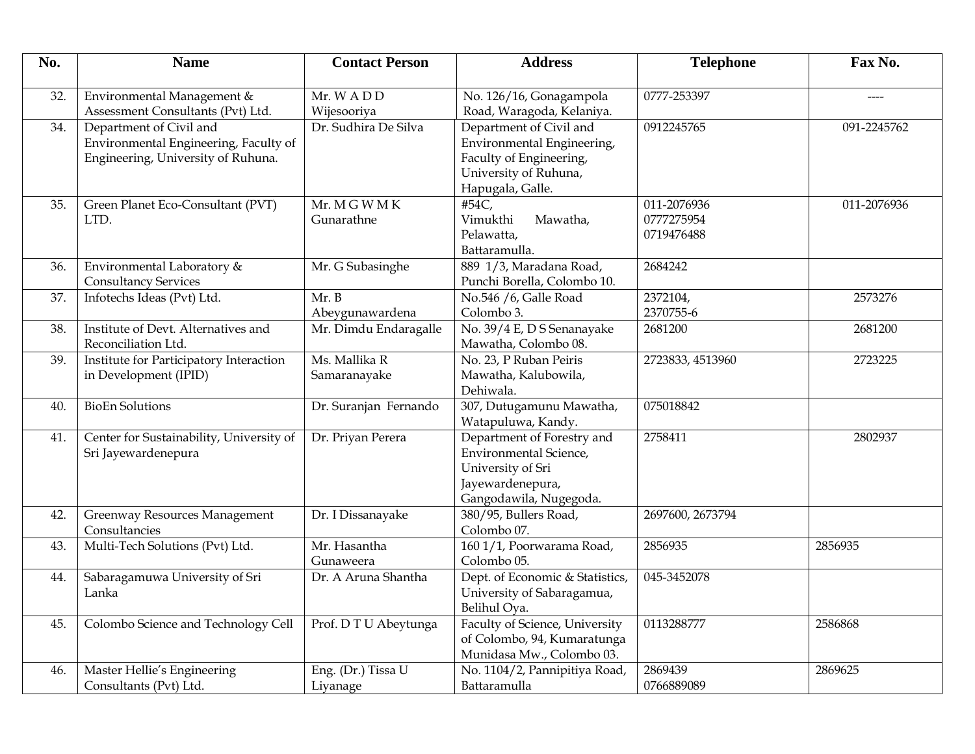| No. | <b>Name</b>                                                                                            | <b>Contact Person</b>          | <b>Address</b>                                                                                                                 | <b>Telephone</b>                        | Fax No.     |
|-----|--------------------------------------------------------------------------------------------------------|--------------------------------|--------------------------------------------------------------------------------------------------------------------------------|-----------------------------------------|-------------|
| 32. | Environmental Management &<br>Assessment Consultants (Pvt) Ltd.                                        | Mr. WADD<br>Wijesooriya        | No. 126/16, Gonagampola<br>Road, Waragoda, Kelaniya.                                                                           | 0777-253397                             |             |
| 34. | Department of Civil and<br>Environmental Engineering, Faculty of<br>Engineering, University of Ruhuna. | Dr. Sudhira De Silva           | Department of Civil and<br>Environmental Engineering,<br>Faculty of Engineering,<br>University of Ruhuna,<br>Hapugala, Galle.  | 0912245765                              | 091-2245762 |
| 35. | Green Planet Eco-Consultant (PVT)<br>LTD.                                                              | Mr. MGWMK<br>Gunarathne        | #54C,<br>Vimukthi<br>Mawatha,<br>Pelawatta,<br>Battaramulla.                                                                   | 011-2076936<br>0777275954<br>0719476488 | 011-2076936 |
| 36. | Environmental Laboratory &<br><b>Consultancy Services</b>                                              | Mr. G Subasinghe               | 889 1/3, Maradana Road,<br>Punchi Borella, Colombo 10.                                                                         | 2684242                                 |             |
| 37. | Infotechs Ideas (Pvt) Ltd.                                                                             | Mr. B<br>Abeygunawardena       | No.546 /6, Galle Road<br>Colombo 3.                                                                                            | 2372104,<br>2370755-6                   | 2573276     |
| 38. | Institute of Devt. Alternatives and<br>Reconciliation Ltd.                                             | Mr. Dimdu Endaragalle          | No. 39/4 E, D S Senanayake<br>Mawatha, Colombo 08.                                                                             | 2681200                                 | 2681200     |
| 39. | Institute for Participatory Interaction<br>in Development (IPID)                                       | Ms. Mallika R<br>Samaranayake  | No. 23, P Ruban Peiris<br>Mawatha, Kalubowila,<br>Dehiwala.                                                                    | 2723833, 4513960                        | 2723225     |
| 40. | <b>BioEn Solutions</b>                                                                                 | Dr. Suranjan Fernando          | 307, Dutugamunu Mawatha,<br>Watapuluwa, Kandy.                                                                                 | 075018842                               |             |
| 41. | Center for Sustainability, University of<br>Sri Jayewardenepura                                        | Dr. Priyan Perera              | Department of Forestry and<br><b>Environmental Science,</b><br>University of Sri<br>Jayewardenepura,<br>Gangodawila, Nugegoda. | 2758411                                 | 2802937     |
| 42. | Greenway Resources Management<br>Consultancies                                                         | Dr. I Dissanayake              | 380/95, Bullers Road,<br>Colombo 07.                                                                                           | 2697600, 2673794                        |             |
| 43. | Multi-Tech Solutions (Pvt) Ltd.                                                                        | Mr. Hasantha<br>Gunaweera      | 160 1/1, Poorwarama Road,<br>Colombo 05.                                                                                       | 2856935                                 | 2856935     |
| 44. | Sabaragamuwa University of Sri<br>Lanka                                                                | Dr. A Aruna Shantha            | Dept. of Economic & Statistics,<br>University of Sabaragamua,<br>Belihul Oya.                                                  | 045-3452078                             |             |
| 45. | Colombo Science and Technology Cell                                                                    | Prof. D T U Abeytunga          | Faculty of Science, University<br>of Colombo, 94, Kumaratunga<br>Munidasa Mw., Colombo 03.                                     | 0113288777                              | 2586868     |
| 46. | Master Hellie's Engineering<br>Consultants (Pvt) Ltd.                                                  | Eng. (Dr.) Tissa U<br>Liyanage | No. 1104/2, Pannipitiya Road,<br>Battaramulla                                                                                  | 2869439<br>0766889089                   | 2869625     |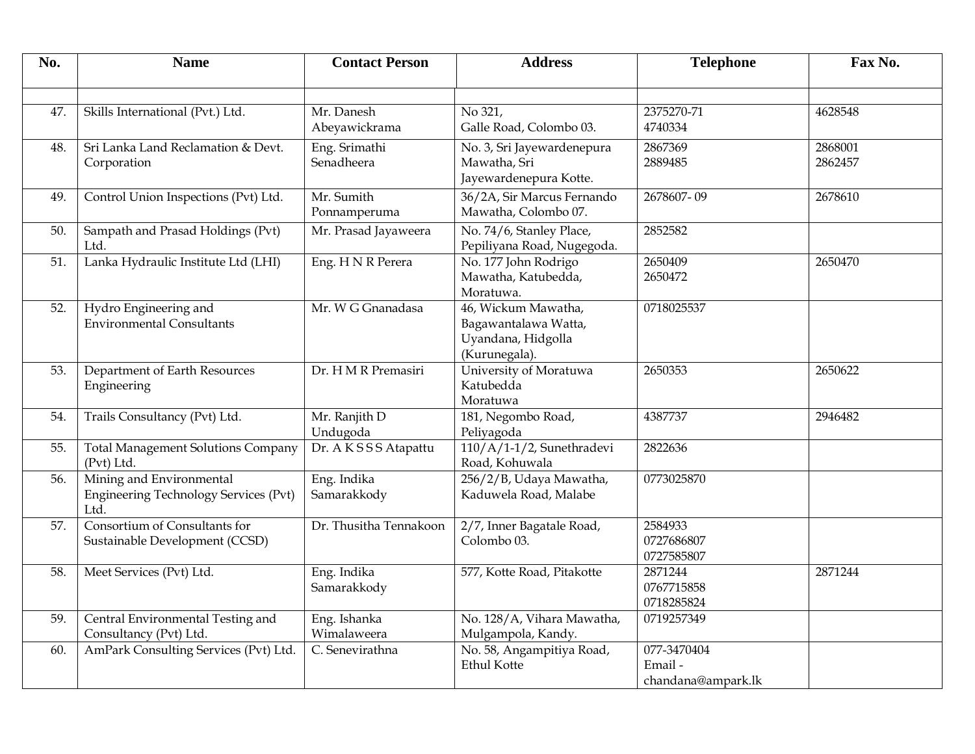| No. | <b>Name</b>                                                                      | <b>Contact Person</b>       | <b>Address</b>                                                                     | <b>Telephone</b>                            | Fax No.            |
|-----|----------------------------------------------------------------------------------|-----------------------------|------------------------------------------------------------------------------------|---------------------------------------------|--------------------|
| 47. | Skills International (Pvt.) Ltd.                                                 | Mr. Danesh<br>Abeyawickrama | No 321,<br>Galle Road, Colombo 03.                                                 | 2375270-71<br>4740334                       | 4628548            |
| 48. | Sri Lanka Land Reclamation & Devt.<br>Corporation                                | Eng. Srimathi<br>Senadheera | No. 3, Sri Jayewardenepura<br>Mawatha, Sri<br>Jayewardenepura Kotte.               | 2867369<br>2889485                          | 2868001<br>2862457 |
| 49. | Control Union Inspections (Pvt) Ltd.                                             | Mr. Sumith<br>Ponnamperuma  | 36/2A, Sir Marcus Fernando<br>Mawatha, Colombo 07.                                 | 2678607-09                                  | 2678610            |
| 50. | Sampath and Prasad Holdings (Pvt)<br>Ltd.                                        | Mr. Prasad Jayaweera        | No. 74/6, Stanley Place,<br>Pepiliyana Road, Nugegoda.                             | 2852582                                     |                    |
| 51. | Lanka Hydraulic Institute Ltd (LHI)                                              | Eng. H N R Perera           | No. 177 John Rodrigo<br>Mawatha, Katubedda,<br>Moratuwa.                           | 2650409<br>2650472                          | 2650470            |
| 52. | Hydro Engineering and<br><b>Environmental Consultants</b>                        | Mr. W G Gnanadasa           | 46, Wickum Mawatha,<br>Bagawantalawa Watta,<br>Uyandana, Hidgolla<br>(Kurunegala). | 0718025537                                  |                    |
| 53. | Department of Earth Resources<br>Engineering                                     | Dr. H M R Premasiri         | University of Moratuwa<br>Katubedda<br>Moratuwa                                    | 2650353                                     | 2650622            |
| 54. | Trails Consultancy (Pvt) Ltd.                                                    | Mr. Ranjith D<br>Undugoda   | 181, Negombo Road,<br>Peliyagoda                                                   | 4387737                                     | 2946482            |
| 55. | <b>Total Management Solutions Company</b><br>(Pvt) Ltd.                          | Dr. AKSSS Atapattu          | $110/A/1-1/2$ , Sunethradevi<br>Road, Kohuwala                                     | 2822636                                     |                    |
| 56. | Mining and Environmental<br><b>Engineering Technology Services (Pvt)</b><br>Ltd. | Eng. Indika<br>Samarakkody  | 256/2/B, Udaya Mawatha,<br>Kaduwela Road, Malabe                                   | 0773025870                                  |                    |
| 57. | Consortium of Consultants for<br>Sustainable Development (CCSD)                  | Dr. Thusitha Tennakoon      | 2/7, Inner Bagatale Road,<br>Colombo 03.                                           | 2584933<br>0727686807<br>0727585807         |                    |
| 58. | Meet Services (Pvt) Ltd.                                                         | Eng. Indika<br>Samarakkody  | 577, Kotte Road, Pitakotte                                                         | 2871244<br>0767715858<br>0718285824         | 2871244            |
| 59. | Central Environmental Testing and<br>Consultancy (Pvt) Ltd.                      | Eng. Ishanka<br>Wimalaweera | No. 128/A, Vihara Mawatha,<br>Mulgampola, Kandy.                                   | 0719257349                                  |                    |
| 60. | AmPark Consulting Services (Pvt) Ltd.                                            | C. Senevirathna             | No. 58, Angampitiya Road,<br><b>Ethul Kotte</b>                                    | 077-3470404<br>Email-<br>chandana@ampark.lk |                    |